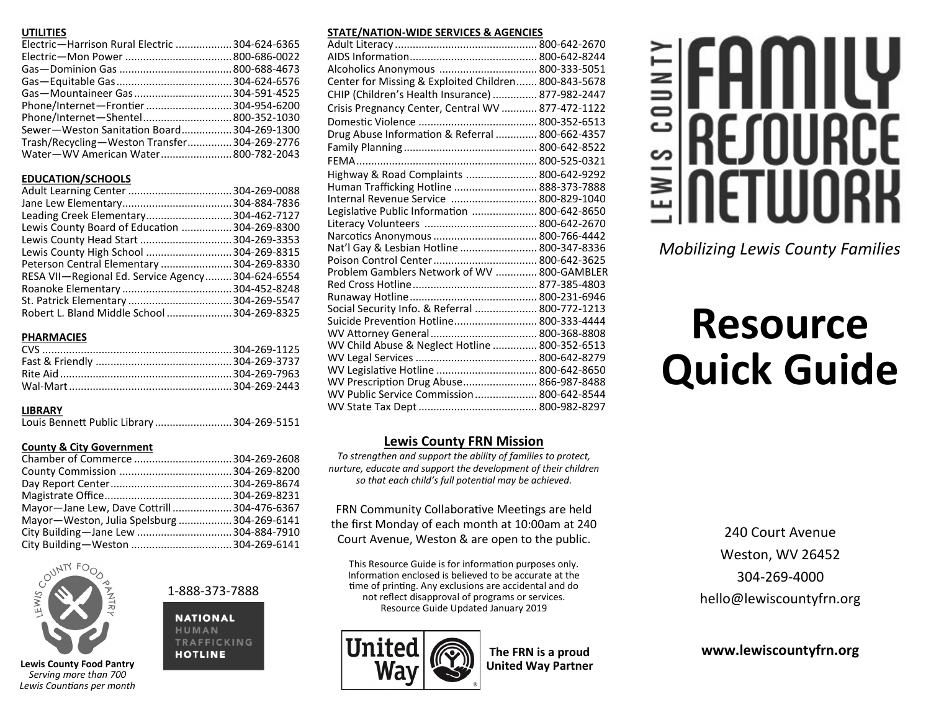## **UTILITIES**

| Electric-Harrison Rural Electric  304-624-6365 |
|------------------------------------------------|
|                                                |
|                                                |
|                                                |
|                                                |
| Phone/Internet-Frontier 304-954-6200           |
| Phone/Internet-Shentel 800-352-1030            |
| Sewer-Weston Sanitation Board 304-269-1300     |
| Trash/Recycling-Weston Transfer 304-269-2776   |
| Water-WV American Water 800-782-2043           |
|                                                |

# **EDUCATION/SCHOOLS**

| Leading Creek Elementary 304-462-7127            |
|--------------------------------------------------|
| Lewis County Board of Education  304-269-8300    |
| Lewis County Head Start  304-269-3353            |
| Lewis County High School  304-269-8315           |
| Peterson Central Elementary  304-269-8330        |
| RESA VII-Regional Ed. Service Agency304-624-6554 |
|                                                  |
|                                                  |
| Robert L. Bland Middle School  304-269-8325      |
|                                                  |

# **PHARMACIES**

# **LIBRARY**

Louis Bennett Public Library ..........................304-269-5151

# **County & City Government**

| Mayor-Jane Lew, Dave Cottrill304-476-6367   |  |
|---------------------------------------------|--|
| Mayor-Weston, Julia Spelsburg  304-269-6141 |  |
|                                             |  |
| City Building-Weston  304-269-6141          |  |



**Lewis County Food Pantry** *Serving more than 700 Lewis Countians per month* 1-888-373-7888

**NATIONAL** HUMAN TRAFFICKING **HOTLINE** 

# **STATE/NATION-WIDE SERVICES & AGENCIES**

| Alcoholics Anonymous  800-333-5051                   |  |
|------------------------------------------------------|--|
| Center for Missing & Exploited Children 800-843-5678 |  |
| CHIP (Children's Health Insurance)  877-982-2447     |  |
| Crisis Pregnancy Center, Central WV  877-472-1122    |  |
|                                                      |  |
| Drug Abuse Information & Referral  800-662-4357      |  |
|                                                      |  |
|                                                      |  |
| Highway & Road Complaints  800-642-9292              |  |
| Human Trafficking Hotline  888-373-7888              |  |
| Internal Revenue Service  800-829-1040               |  |
| Legislative Public Information  800-642-8650         |  |
|                                                      |  |
|                                                      |  |
| Nat'l Gay & Lesbian Hotline  800-347-8336            |  |
|                                                      |  |
| Problem Gamblers Network of WV  800-GAMBLER          |  |
|                                                      |  |
|                                                      |  |
| Social Security Info. & Referral  800-772-1213       |  |
| Suicide Prevention Hotline 800-333-4444              |  |
|                                                      |  |
| WV Child Abuse & Neglect Hotline  800-352-6513       |  |
|                                                      |  |
| WV Legislative Hotline  800-642-8650                 |  |
| WV Prescription Drug Abuse 866-987-8488              |  |
| WV Public Service Commission  800-642-8544           |  |
|                                                      |  |

# **Lewis County FRN Mission**

*To strengthen and support the ability of families to protect, nurture, educate and support the development of their children so that each child's full potential may be achieved.*

FRN Community Collaborative Meetings are held the first Monday of each month at 10:00am at 240 Court Avenue, Weston & are open to the public.

This Resource Guide is for information purposes only. Information enclosed is believed to be accurate at the time of printing. Any exclusions are accidental and do not reflect disapproval of programs or services. Resource Guide Updated January 2019



**The FRN is a proud United Way Partner**

# .<br>Do n S ≧

*Mobilizing Lewis County Families*

# **Resource Quick Guide**

240 Court Avenue Weston, WV 26452 304-269-4000 hello@lewiscountyfrn.org

**www.lewiscountyfrn.org**